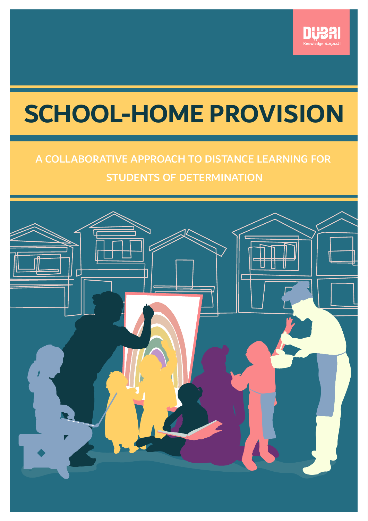

# **SCHOOL-HOME PROVISION**

### A COLLABORATIVE APPROACH TO DISTANCE LEARNING FOR STUDENTS OF DETERMINATION

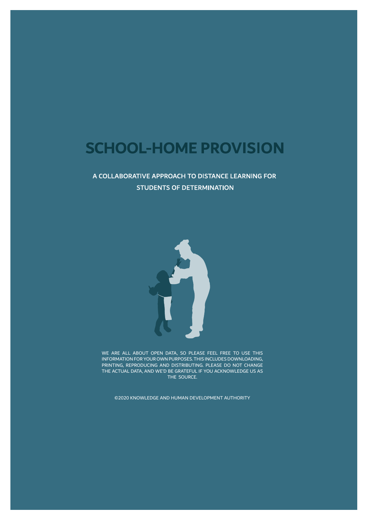# **SCHOOL-HOME PROVISION**

### A COLLABORATIVE APPROACH TO DISTANCE LEARNING FOR **STUDENTS OF DETERMINATION**



WE ARE ALL ABOUT OPEN DATA, SO PLEASE FEEL FREE TO USE THIS INFORMATION FOR YOUR OWN PURPOSES. THIS INCLUDES DOWNLOADING, PRINTING, REPRODUCING AND DISTRIBUTING. PLEASE DO NOT CHANGE THE ACTUAL DATA, AND WE'D BE GRATEFUL IF YOU ACKNOWLEDGE US AS THE SOURCE.

©2020 KNOWLEDGE AND HUMAN DEVELOPMENT AUTHORITY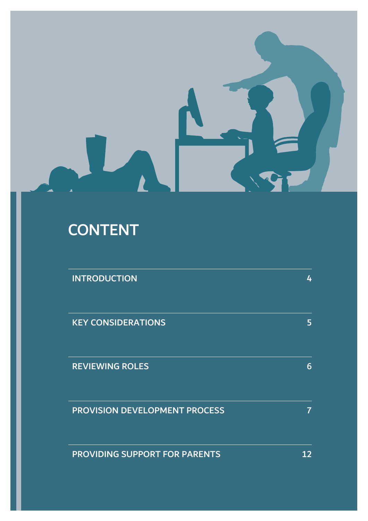

# **CONTENT**

| <b>INTRODUCTION</b>                  | 4  |
|--------------------------------------|----|
| <b>KEY CONSIDERATIONS</b>            | 5  |
| <b>REVIEWING ROLES</b>               | 6  |
| <b>PROVISION DEVELOPMENT PROCESS</b> | 7  |
| PROVIDING SUPPORT FOR PARENTS        | 12 |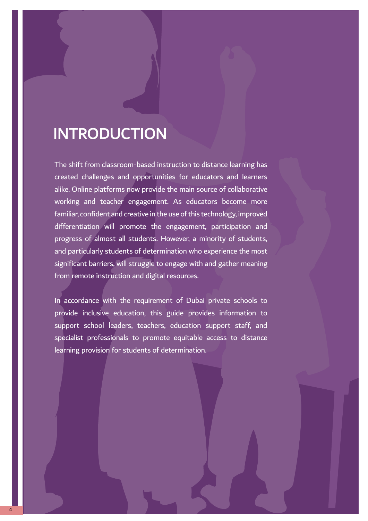## INTRODUCTION

The shift from classroom-based instruction to distance learning has created challenges and opportunities for educators and learners alike. Online platforms now provide the main source of collaborative working and teacher engagement. As educators become more familiar, confident and creative in the use of this technology, improved differentiation will promote the engagement, participation and progress of almost all students. However, a minority of students, and particularly students of determination who experience the most significant barriers, will struggle to engage with and gather meaning from remote instruction and digital resources.

In accordance with the requirement of Dubai private schools to provide inclusive education, this guide provides information to support school leaders, teachers, education support staff, and specialist professionals to promote equitable access to distance learning provision for students of determination.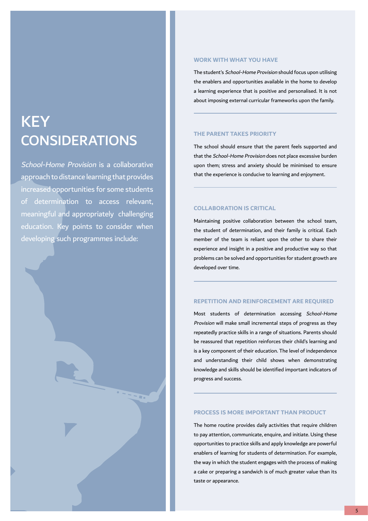# **KEY CONSIDERATIONS**

School-Home Provision is a collaborative approach to distance learning that provides increased opportunities for some students of determination to access relevant, meaningful and appropriately challenging education. Key points to consider when developing such programmes include:

#### **WORK WITH WHAT YOU HAVE**

The student's School-Home Provision should focus upon utilising the enablers and opportunities available in the home to develop a learning experience that is positive and personalised. It is not about imposing external curricular frameworks upon the family.

#### **THE PARENT TAKES PRIORITY**

The school should ensure that the parent feels supported and that the School-Home Provision does not place excessive burden upon them; stress and anxiety should be minimised to ensure that the experience is conducive to learning and enjoyment.

#### **COLLABORATION IS CRITICAL**

Maintaining positive collaboration between the school team, the student of determination, and their family is critical. Each member of the team is reliant upon the other to share their experience and insight in a positive and productive way so that problems can be solved and opportunities for student growth are developed over time.

#### **REPETITION AND REINFORCEMENT ARE REQUIRED**

Most students of determination accessing School-Home Provision will make small incremental steps of progress as they repeatedly practice skills in a range of situations. Parents should be reassured that repetition reinforces their child's learning and is a key component of their education. The level of independence and understanding their child shows when demonstrating knowledge and skills should be identified important indicators of progress and success.

#### **PROCESS IS MORE IMPORTANT THAN PRODUCT**

The home routine provides daily activities that require children to pay attention, communicate, enquire, and initiate. Using these opportunities to practice skills and apply knowledge are powerful enablers of learning for students of determination. For example, the way in which the student engages with the process of making a cake or preparing a sandwich is of much greater value than its taste or appearance.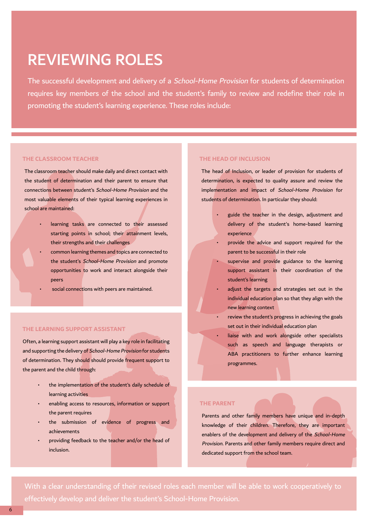### REVIEWING ROLES

The successful development and delivery of a School-Home Provision for students of determination requires key members of the school and the student's family to review and redefine their role in promoting the student's learning experience. These roles include:

#### **THE CLASSROOM TEACHER**

The classroom teacher should make daily and direct contact with the student of determination and their parent to ensure that connections between student's School-Home Provision and the most valuable elements of their typical learning experiences in school are maintained:

- learning tasks are connected to their assessed starting points in school; their attainment levels, their strengths and their challenges
- common learning themes and topics are connected to the student's School-Home Provision and promote opportunities to work and interact alongside their peers
- social connections with peers are maintained.

#### **THE LEARNING SUPPORT ASSISTANT**

Often, a learning support assistant will play a key role in facilitating and supporting the delivery of School-Home Provision for students of determination. They should should provide frequent support to the parent and the child through:

- the implementation of the student's daily schedule of learning activities
- enabling access to resources, information or support the parent requires
- the submission of evidence of progress and achievements
- providing feedback to the teacher and/or the head of inclusion.

#### **THE HEAD OF INCLUSION**

The head of Inclusion, or leader of provision for students of determination, is expected to quality assure and review the implementation and impact of School-Home Provision for students of determination. In particular they should:

- guide the teacher in the design, adjustment and delivery of the student's home-based learning experience
- provide the advice and support required for the parent to be successful in their role
- supervise and provide guidance to the learning support assistant in their coordination of the student's learning
- adjust the targets and strategies set out in the individual education plan so that they align with the new learning context
- review the student's progress in achieving the goals set out in their individual education plan
	- liaise with and work alongside other specialists such as speech and language therapists or ABA practitioners to further enhance learning programmes.

#### **THE PARENT**

Parents and other family members have unique and in-depth knowledge of their children. Therefore, they are important enablers of the development and delivery of the School-Home Provision. Parents and other family members require direct and dedicated support from the school team.

With a clear understanding of their revised roles each member will be able to work cooperatively to effectively develop and deliver the student's School-Home Provision.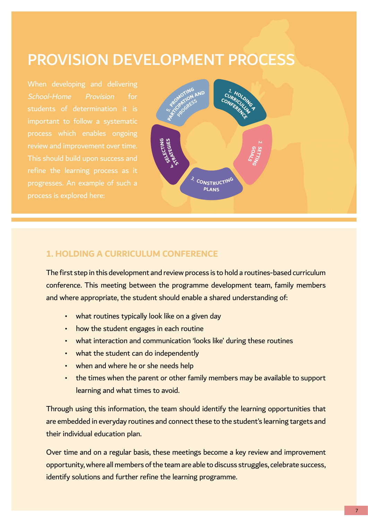# PROVISION DEVELOPMENT PROCESS

When developing and delivering School-Home Provision for students of determination it is important to follow a systematic process which enables ongoing review and improvement over time. This should build upon success and refine the learning process as it progresses. An example of such a process is explored here:



### **1. HOLDING A CURRICULUM CONFERENCE**

The first step in this development and review process is to hold a routines-based curriculum conference. This meeting between the programme development team, family members and where appropriate, the student should enable a shared understanding of:

- what routines typically look like on a given day
- how the student engages in each routine
- what interaction and communication 'looks like' during these routines
- what the student can do independently
- when and where he or she needs help
- the times when the parent or other family members may be available to support learning and what times to avoid.

Through using this information, the team should identify the learning opportunities that are embedded in everyday routines and connect these to the student's learning targets and their individual education plan.

Over time and on a regular basis, these meetings become a key review and improvement opportunity, where all members of the team are able to discuss struggles, celebrate success, identify solutions and further refine the learning programme.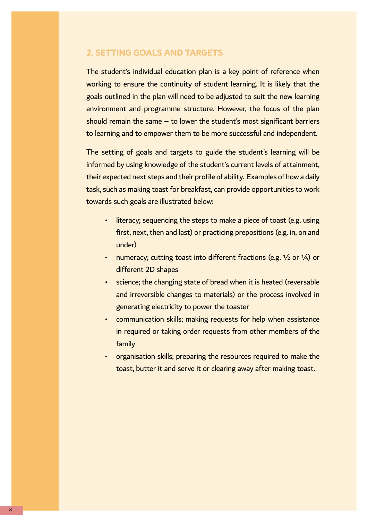### **2. SETTING GOALS AND TARGETS**

The student's individual education plan is a key point of reference when working to ensure the continuity of student learning. It is likely that the goals outlined in the plan will need to be adjusted to suit the new learning environment and programme structure. However, the focus of the plan should remain the same – to lower the student's most significant barriers to learning and to empower them to be more successful and independent.

The setting of goals and targets to guide the student's learning will be informed by using knowledge of the student's current levels of attainment, their expected next steps and their profile of ability. Examples of how a daily task, such as making toast for breakfast, can provide opportunities to work towards such goals are illustrated below:

- literacy; sequencing the steps to make a piece of toast (e.g. using first, next, then and last) or practicing prepositions (e.g. in, on and under)
- numeracy; cutting toast into different fractions (e.g. 1/2 or 1/4) or different 2D shapes
- science; the changing state of bread when it is heated (reversable and irreversible changes to materials) or the process involved in generating electricity to power the toaster
- communication skills; making requests for help when assistance in required or taking order requests from other members of the family
- organisation skills; preparing the resources required to make the toast, butter it and serve it or clearing away after making toast.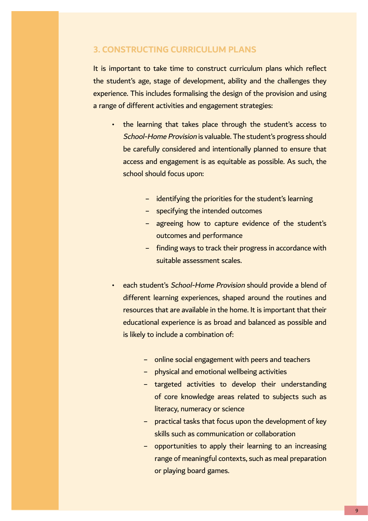### **3. CONSTRUCTING CURRICULUM PLANS**

It is important to take time to construct curriculum plans which reflect the student's age, stage of development, ability and the challenges they experience. This includes formalising the design of the provision and using a range of different activities and engagement strategies:

- the learning that takes place through the student's access to School-Home Provision is valuable. The student's progress should be carefully considered and intentionally planned to ensure that access and engagement is as equitable as possible. As such, the school should focus upon:
	- − identifying the priorities for the student's learning
	- − specifying the intended outcomes
	- − agreeing how to capture evidence of the student's outcomes and performance
	- − finding ways to track their progress in accordance with suitable assessment scales.
- each student's School-Home Provision should provide a blend of different learning experiences, shaped around the routines and resources that are available in the home. It is important that their educational experience is as broad and balanced as possible and is likely to include a combination of:
	- − online social engagement with peers and teachers
	- − physical and emotional wellbeing activities
	- − targeted activities to develop their understanding of core knowledge areas related to subjects such as literacy, numeracy or science
	- − practical tasks that focus upon the development of key skills such as communication or collaboration
	- − opportunities to apply their learning to an increasing range of meaningful contexts, such as meal preparation or playing board games.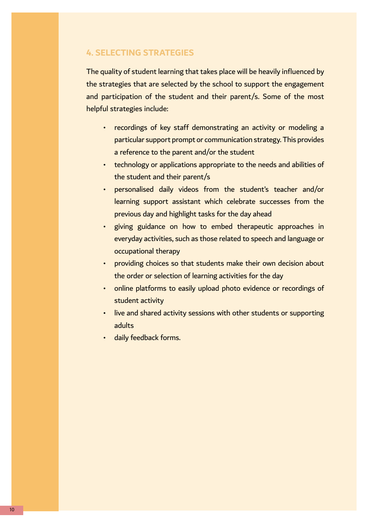### **4. SELECTING STRATEGIES**

The quality of student learning that takes place will be heavily influenced by the strategies that are selected by the school to support the engagement and participation of the student and their parent/s. Some of the most helpful strategies include:

- recordings of key staff demonstrating an activity or modeling a particular support prompt or communication strategy. This provides a reference to the parent and/or the student
- technology or applications appropriate to the needs and abilities of the student and their parent/s
- personalised daily videos from the student's teacher and/or learning support assistant which celebrate successes from the previous day and highlight tasks for the day ahead
- giving guidance on how to embed therapeutic approaches in everyday activities, such as those related to speech and language or occupational therapy
- providing choices so that students make their own decision about the order or selection of learning activities for the day
- online platforms to easily upload photo evidence or recordings of student activity
- live and shared activity sessions with other students or supporting adults
- daily feedback forms.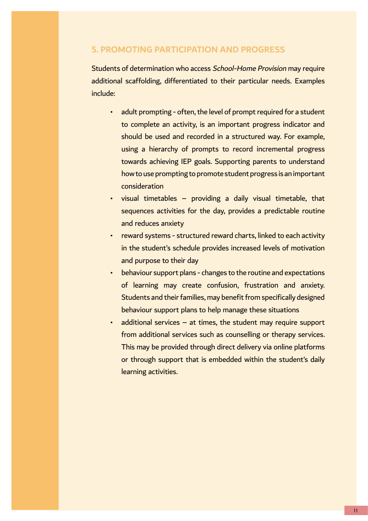### **5. PROMOTING PARTICIPATION AND PROGRESS**

Students of determination who access School-Home Provision may require additional scaffolding, differentiated to their particular needs. Examples include:

- adult prompting often, the level of prompt required for a student to complete an activity, is an important progress indicator and should be used and recorded in a structured way. For example, using a hierarchy of prompts to record incremental progress towards achieving IEP goals. Supporting parents to understand how to use prompting to promote student progress is an important consideration
- visual timetables providing a daily visual timetable, that sequences activities for the day, provides a predictable routine and reduces anxiety
- reward systems structured reward charts, linked to each activity in the student's schedule provides increased levels of motivation and purpose to their day
- behaviour support plans changes to the routine and expectations of learning may create confusion, frustration and anxiety. Students and their families, may benefit from specifically designed behaviour support plans to help manage these situations
- additional services at times, the student may require support from additional services such as counselling or therapy services. This may be provided through direct delivery via online platforms or through support that is embedded within the student's daily learning activities.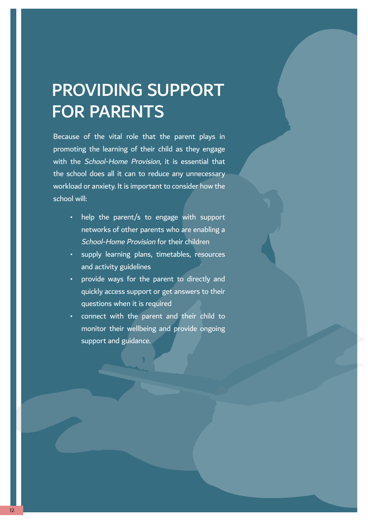# PROVIDING SUPPORT FOR PARENTS

Because of the vital role that the parent plays in promoting the learning of their child as they engage with the *School-Home Provision*, it is essential that the school does all it can to reduce any unnecessary workload or anxiety. It is important to consider how the school will:

- help the parent/s to engage with support networks of other parents who are enabling a School-Home Provision for their children
- supply learning plans, timetables, resources and activity guidelines
- provide ways for the parent to directly and quickly access support or get answers to their questions when it is required
- connect with the parent and their child to monitor their wellbeing and provide ongoing support and guidance.